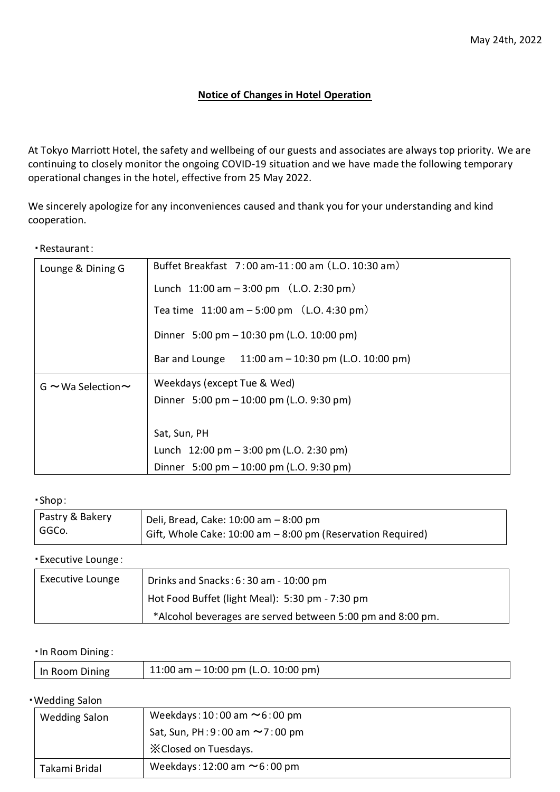# **Notice of Changes in Hotel Operation**

At Tokyo Marriott Hotel, the safety and wellbeing of our guests and associates are always top priority. We are continuing to closely monitor the ongoing COVID-19 situation and we have made the following temporary operational changes in the hotel, effective from 25 May 2022.

We sincerely apologize for any inconveniences caused and thank you for your understanding and kind cooperation.

#### ・Restaurant:

| Lounge & Dining G             | Buffet Breakfast 7:00 am-11:00 am (L.O. 10:30 am)           |  |  |  |
|-------------------------------|-------------------------------------------------------------|--|--|--|
|                               | Lunch $11:00$ am $-3:00$ pm $(L.0.2:30$ pm                  |  |  |  |
|                               | Tea time $11:00$ am $-5:00$ pm $(L.O. 4:30$ pm              |  |  |  |
|                               | Dinner $5:00 \text{ pm} - 10:30 \text{ pm}$ (L.O. 10:00 pm) |  |  |  |
|                               | Bar and Lounge $11:00$ am $-10:30$ pm (L.O. 10:00 pm)       |  |  |  |
| $G \sim W$ a Selection $\sim$ | Weekdays (except Tue & Wed)                                 |  |  |  |
|                               | Dinner $5:00 \text{ pm} - 10:00 \text{ pm}$ (L.O. 9:30 pm)  |  |  |  |
|                               |                                                             |  |  |  |
|                               | Sat, Sun, PH                                                |  |  |  |
|                               | Lunch $12:00 \text{ pm} - 3:00 \text{ pm}$ (L.O. 2:30 pm)   |  |  |  |
|                               | Dinner $5:00 \text{ pm} - 10:00 \text{ pm}$ (L.O. 9:30 pm)  |  |  |  |

## ・Shop:

| Pastry & Bakery<br>GGCo. | Deli, Bread, Cake: 10:00 am - 8:00 pm                       |
|--------------------------|-------------------------------------------------------------|
|                          | Gift, Whole Cake: 10:00 am - 8:00 pm (Reservation Required) |

## ・Executive Lounge:

| Executive Lounge | Drinks and Snacks: $6:30$ am - 10:00 pm                    |  |
|------------------|------------------------------------------------------------|--|
|                  | Hot Food Buffet (light Meal): 5:30 pm - 7:30 pm            |  |
|                  | *Alcohol beverages are served between 5:00 pm and 8:00 pm. |  |

#### ・In Room Dining:

|--|

# ・Wedding Salon

| $\cdots$ case, care  |                                        |  |  |  |
|----------------------|----------------------------------------|--|--|--|
| <b>Wedding Salon</b> | Weekdays: $10:00$ am $\sim 6:00$ pm    |  |  |  |
|                      | Sat, Sun, PH: $9:00$ am $\sim$ 7:00 pm |  |  |  |
|                      | X Closed on Tuesdays.                  |  |  |  |
| Takami Bridal        | Weekdays: 12:00 am $\sim$ 6:00 pm      |  |  |  |